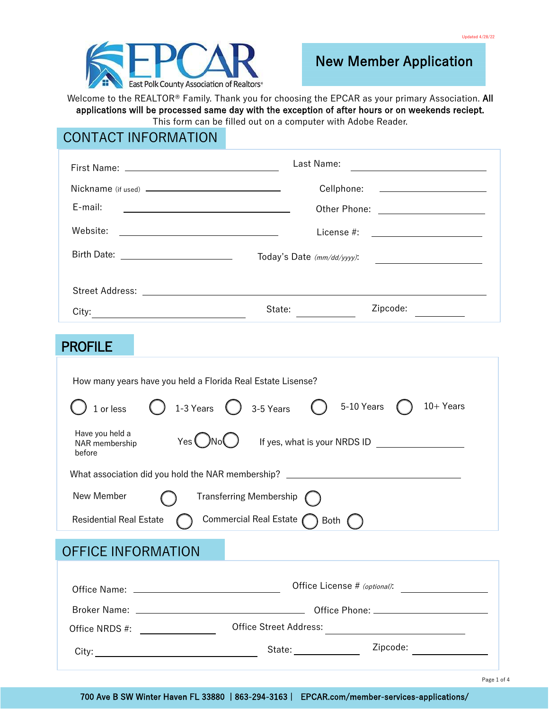

New Member Application

Welcome to the REALTOR® Family. Thank you for choosing the EPCAR as your primary Association. All applications will be processed same day with the exception of after hours or on weekends reciept. This form can be filled out on a computer with Adobe Reader.

### CONTACT INFORMATION

|                                                             | Last Name:                 | <u> Alexandria de la conte</u>                                                                                                                                                                                                 |
|-------------------------------------------------------------|----------------------------|--------------------------------------------------------------------------------------------------------------------------------------------------------------------------------------------------------------------------------|
|                                                             |                            |                                                                                                                                                                                                                                |
| E-mail:                                                     |                            | Other Phone: <u>_________________</u>                                                                                                                                                                                          |
| Website:<br><u> 2000 - Jan Barbara (h. 1888).</u>           |                            | License #: \\command_\\command_\\command_\\command_\\command_\\command_\\command_\\command_\\command_\\command_\\command_\\command_\\command_\\command_\\command_\\command_\\command_\\command_\\command_\\command_\\command_\ |
|                                                             | Today's Date (mm/dd/yyyy): |                                                                                                                                                                                                                                |
|                                                             |                            |                                                                                                                                                                                                                                |
| City:<br><u> 1989 - Andrea Brand, Amerikaansk politik (</u> | State:                     | Zipcode:                                                                                                                                                                                                                       |
|                                                             |                            |                                                                                                                                                                                                                                |
| <b>PROFILE</b>                                              |                            |                                                                                                                                                                                                                                |

| How many years have you held a Florida Real Estate Lisense?                          |
|--------------------------------------------------------------------------------------|
| 5-10 Years<br>1-3 Years $\bigcirc$ 3-5 Years<br>$10+Years$<br>1 or less              |
| Have you held a<br>Yes (<br>If yes, what is your NRDS ID<br>NAR membership<br>before |
| What association did you hold the NAR membership?                                    |
| New Member<br><b>Transferring Membership</b>                                         |
| Commercial Real Estate<br><b>Residential Real Estate</b><br>Both                     |
| <b>OFFICE INFORMATION</b>                                                            |

|                | Office License # (optional):                                                                                                                                                                                                   |  |
|----------------|--------------------------------------------------------------------------------------------------------------------------------------------------------------------------------------------------------------------------------|--|
|                | Office Phone: will be a control of the control of the control of the control of the control of the control of the control of the control of the control of the control of the control of the control of the control of the con |  |
| Office NRDS #: | Office Street Address:                                                                                                                                                                                                         |  |
|                | Zipcode:<br>State: National Contract of State:                                                                                                                                                                                 |  |

700 Ave B SW Winter Haven FL 33880 | 863-294-3163 | EPCAR.com/member-services-applications/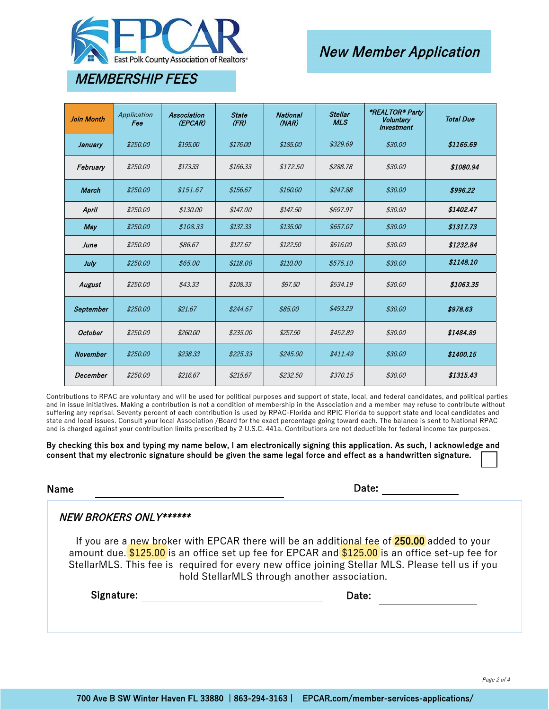

# New Member Application

# MEMBERSHIP FEES

| <b>Join Month</b> | Application<br>Fee | Association<br>(EPCAR) | <b>State</b><br>(FR) | <b>National</b><br>(NAR) | <b>Stellar</b><br><b>MLS</b> | *REALTOR® Party<br><b>Voluntary</b><br>Investment | <b>Total Due</b> |
|-------------------|--------------------|------------------------|----------------------|--------------------------|------------------------------|---------------------------------------------------|------------------|
| January           | \$250.00           | \$195.00               | \$176.00             | \$185.00                 | \$329.69                     | \$30.00                                           | \$1165.69        |
| February          | \$250.00           | \$173.33               | \$166.33             | \$172.50                 | \$288.78                     | \$30.00                                           | \$1080.94        |
| <b>March</b>      | \$250.00           | \$151.67               | \$156.67             | \$160.00                 | \$247.88                     | \$30.00                                           | \$996.22         |
| April             | \$250.00           | \$130.00               | \$147.00             | \$147.50                 | \$697.97                     | \$30.00                                           | \$1402.47        |
| May               | \$250.00           | \$108.33               | \$137.33             | \$135.00                 | \$657.07                     | \$30.00                                           | \$1317.73        |
| June              | \$250.00           | \$86.67                | \$127.67             | \$122.50                 | \$616.00                     | \$30.00                                           | \$1232.84        |
| July              | \$250.00           | \$65.00                | \$118.00             | \$110.00                 | \$575.10                     | \$30.00                                           | \$1148.10        |
| August            | \$250.00           | \$43.33                | \$108.33             | \$97.50                  | \$534.19                     | \$30.00                                           | \$1063.35        |
| September         | \$250.00           | \$21.67                | \$244.67             | \$85.00                  | \$493.29                     | \$30.00                                           | \$978.63         |
| October           | \$250.00           | \$260.00               | \$235.00             | \$257.50                 | \$452.89                     | \$30.00                                           | \$1484.89        |
| <b>November</b>   | \$250.00           | \$238.33               | \$225.33             | \$245.00                 | \$411.49                     | \$30.00                                           | \$1400.15        |
| December          | \$250.00           | \$216.67               | \$215.67             | \$232.50                 | \$370.15                     | \$30.00                                           | \$1315.43        |

Contributions to RPAC are voluntary and will be used for political purposes and support of state, local, and federal candidates, and political parties and in issue initiatives. Making a contribution is not a condition of membership in the Association and a member may refuse to contribute without suffering any reprisal. Seventy percent of each contribution is used by RPAC-Florida and RPIC Florida to support state and local candidates and state and local issues. Consult your local Association /Board for the exact percentage going toward each. The balance is sent to National RPAC and is charged against your contribution limits prescribed by 2 U.S.C. 441a. Contributions are not deductible for federal income tax purposes.

By checking this box and typing my name below, I am electronically signing this application. As such, I acknowledge and consent that my electronic signature should be given the same legal force and effect as a handwritten signature.

Name Date:

#### NEW BROKERS ONLY\*\*\*\*\*\*

If you are a new broker with EPCAR there will be an additional fee of **250.00** added to your amount due. \$125.00 is an office set up fee for EPCAR and \$125.00 is an office set-up fee for StellarMLS. This fee is required for every new office joining Stellar MLS. Please tell us if you hold StellarMLS through another association.

Signature: Date: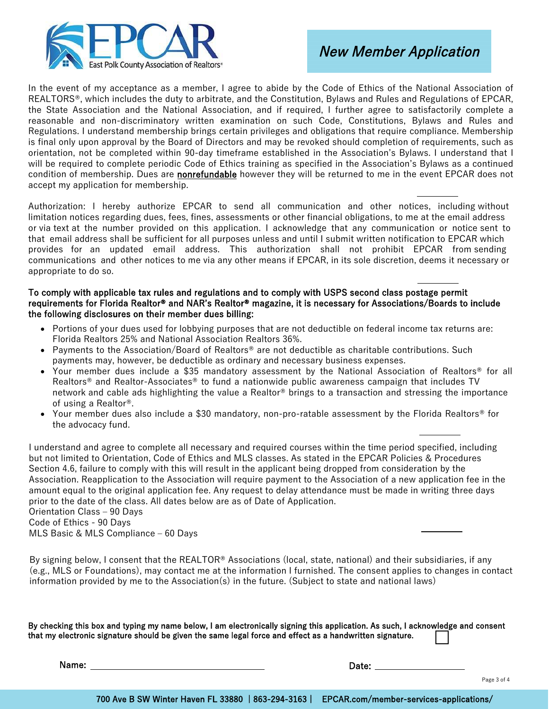

In the event of my acceptance as a member, I agree to abide by the Code of Ethics of the National Association of REALTORS®, which includes the duty to arbitrate, and the Constitution, Bylaws and Rules and Regulations of EPCAR, the State Association and the National Association, and if required, I further agree to satisfactorily complete a reasonable and non-discriminatory written examination on such Code, Constitutions, Bylaws and Rules and Regulations. I understand membership brings certain privileges and obligations that require compliance. Membership is final only upon approval by the Board of Directors and may be revoked should completion of requirements, such as orientation, not be completed within 90-day timeframe established in the Association's Bylaws. I understand that I will be required to complete periodic Code of Ethics training as specified in the Association's Bylaws as a continued condition of membership. Dues are nonrefundable however they will be returned to me in the event EPCAR does not accept my application for membership.

Authorization: I hereby authorize EPCAR to send all communication and other notices, including without limitation notices regarding dues, fees, fines, assessments or other financial obligations, to me at the email address or via text at the number provided on this application. I acknowledge that any communication or notice sent to that email address shall be sufficient for all purposes unless and until I submit written notification to EPCAR which provides for an updated email address. This authorization shall not prohibit EPCAR from sending communications and other notices to me via any other means if EPCAR, in its sole discretion, deems it necessary or appropriate to do so.

#### To comply with applicable tax rules and regulations and to comply with USPS second class postage permit requirements for Florida Realtor® and NAR's Realtor® magazine, it is necessary for Associations/Boards to include the following disclosures on their member dues billing:

- Portions of your dues used for lobbying purposes that are not deductible on federal income tax returns are: Florida Realtors 25% and National Association Realtors 36%.
- Payments to the Association/Board of Realtors® are not deductible as charitable contributions. Such payments may, however, be deductible as ordinary and necessary business expenses.
- Your member dues include a \$35 mandatory assessment by the National Association of Realtors® for all Realtors® and Realtor-Associates® to fund a nationwide public awareness campaign that includes TV network and cable ads highlighting the value a Realtor® brings to a transaction and stressing the importance of using a Realtor®.
- Your member dues also include a \$30 mandatory, non-pro-ratable assessment by the Florida Realtors® for the advocacy fund.

I understand and agree to complete all necessary and required courses within the time period specified, including but not limited to Orientation, Code of Ethics and MLS classes. As stated in the EPCAR Policies & Procedures Section 4.6, failure to comply with this will result in the applicant being dropped from consideration by the Association. Reapplication to the Association will require payment to the Association of a new application fee in the amount equal to the original application fee. Any request to delay attendance must be made in writing three days prior to the date of the class. All dates below are as of Date of Application. Orientation Class - 90 Days

Code of Ethics - 90 Days MLS Basic & MLS Compliance - 60 Days

By signing below, I consent that the REALTOR® Associations (local, state, national) and their subsidiaries, if any (e.g., MLS or Foundations), may contact me at the information I furnished. The consent applies to changes in contact information provided by me to the Association(s) in the future. (Subject to state and national laws)

By checking this box and typing my name below, I am electronically signing this application. As such, I acknowledge and consent that my electronic signature should be given the same legal force and effect as a handwritten signature.

Name: Date: